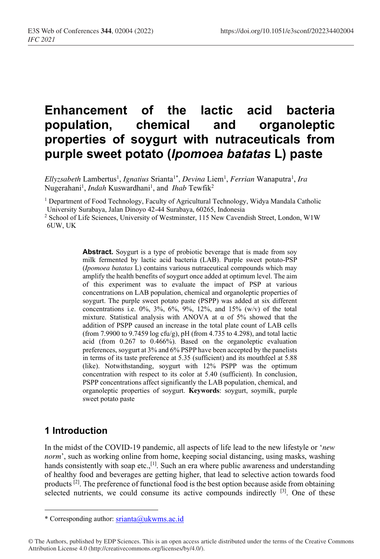# **Enhancement of the lactic acid bacteria population, chemical and organoleptic properties of soygurt with nutraceuticals from purple sweet potato (***Ipomoea batatas* **L) paste**

Ellyzsabeth Lambertus<sup>1</sup>, Ignatius Srianta<sup>1\*</sup>, Devina Liem<sup>1</sup>, Ferrian Wanaputra<sup>1</sup>, Ira Nugerahani<sup>1</sup>, *Indah* Kuswardhani<sup>1</sup>, and *Ihab* Tewfik<sup>2</sup>

<sup>1</sup> Department of Food Technology, Faculty of Agricultural Technology, Widya Mandala Catholic University Surabaya, Jalan Dinoyo 42-44 Surabaya, 60265, Indonesia

<sup>2</sup> School of Life Sciences, University of Westminster, 115 New Cavendish Street, London, W1W 6UW, UK

> Abstract. Soygurt is a type of probiotic beverage that is made from soy milk fermented by lactic acid bacteria (LAB). Purple sweet potato-PSP (*Ipomoea batatas* L) contains various nutraceutical compounds which may amplify the health benefits of soygurt once added at optimum level. The aim of this experiment was to evaluate the impact of PSP at various concentrations on LAB population, chemical and organoleptic properties of soygurt. The purple sweet potato paste (PSPP) was added at six different concentrations i.e.  $0\%, 3\%, 6\%, 9\%, 12\%, \text{ and } 15\%$  (w/v) of the total mixture. Statistical analysis with ANOVA at  $\alpha$  of 5% showed that the addition of PSPP caused an increase in the total plate count of LAB cells (from 7.9900 to 9.7459 log cfu/g), pH (from 4.735 to 4.298), and total lactic acid (from 0.267 to 0.466%). Based on the organoleptic evaluation preferences, soygurt at 3% and 6% PSPP have been accepted by the panelists in terms of its taste preference at 5.35 (sufficient) and its mouthfeel at 5.88 (like). Notwithstanding, soygurt with 12% PSPP was the optimum concentration with respect to its color at 5.40 (sufficient). In conclusion, PSPP concentrations affect significantly the LAB population, chemical, and organoleptic properties of soygurt. **Keywords**: soygurt, soymilk, purple sweet potato paste

# **1 Introduction**

In the midst of the COVID-19 pandemic, all aspects of life lead to the new lifestyle or '*new norm*', such as working online from home, keeping social distancing, using masks, washing hands consistently with soap etc., $^{[1]}$ . Such an era where public awareness and understanding of healthy food and beverages are getting higher, that lead to selective action towards food products  $[2]$ . The preference of functional food is the best option because aside from obtaining selected nutrients, we could consume its active compounds indirectly  $[3]$ . One of these

<sup>\*</sup> Corresponding author: srianta@ukwms.ac.id

<sup>©</sup> The Authors, published by EDP Sciences. This is an open access article distributed under the terms of the Creative Commons Attribution License 4.0 (http://creativecommons.org/licenses/by/4.0/).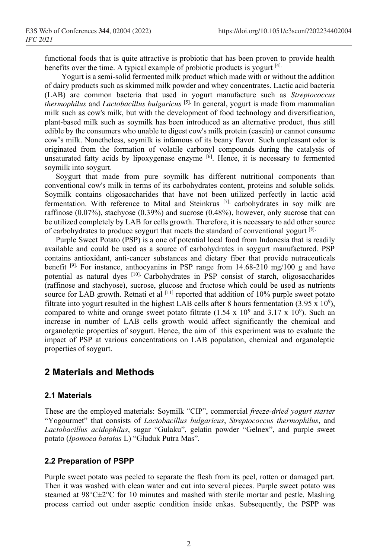functional foods that is quite attractive is probiotic that has been proven to provide health benefits over the time. A typical example of probiotic products is yogurt [4].

Yogurt is a semi-solid fermented milk product which made with or without the addition of dairy products such as skimmed milk powder and whey concentrates. Lactic acid bacteria (LAB) are common bacteria that used in yogurt manufacture such as *Streptococcus thermophilus* and *Lactobacillus bulgaricus* [5]. In general, yogurt is made from mammalian milk such as cow's milk, but with the development of food technology and diversification, plant-based milk such as soymilk has been introduced as an alternative product, thus still edible by the consumers who unable to digest cow's milk protein (casein) or cannot consume cow's milk. Nonetheless, soymilk is infamous of its beany flavor. Such unpleasant odor is originated from the formation of volatile carbonyl compounds during the catalysis of unsaturated fatty acids by lipoxygenase enzyme  $[6]$ . Hence, it is necessary to fermented soymilk into soygurt.

Soygurt that made from pure soymilk has different nutritional components than conventional cow's milk in terms of its carbohydrates content, proteins and soluble solids. Soymilk contains oligosaccharides that have not been utilized perfectly in lactic acid fermentation. With reference to Mital and Steinkrus [7], carbohydrates in soy milk are raffinose (0.07%), stachyose (0.39%) and sucrose (0.48%), however, only sucrose that can be utilized completely by LAB for cells growth. Therefore, it is necessary to add other source of carbohydrates to produce soygurt that meets the standard of conventional yogurt  $[8]$ .

Purple Sweet Potato (PSP) is a one of potential local food from Indonesia that is readily available and could be used as a source of carbohydrates in soygurt manufactured. PSP contains antioxidant, anti-cancer substances and dietary fiber that provide nutraceuticals benefit [9]. For instance, anthocyanins in PSP range from 14.68-210 mg/100 g and have potential as natural dyes [10]. Carbohydrates in PSP consist of starch, oligosaccharides (raffinose and stachyose), sucrose, glucose and fructose which could be used as nutrients source for LAB growth. Retnati et al  $^{[11]}$  reported that addition of 10% purple sweet potato filtrate into yogurt resulted in the highest LAB cells after 8 hours fermentation (3.95 x  $10^9$ ), compared to white and orange sweet potato filtrate  $(1.54 \times 10^9 \text{ and } 3.17 \times 10^9)$ . Such an increase in number of LAB cells growth would affect significantly the chemical and organoleptic properties of soygurt. Hence, the aim of this experiment was to evaluate the impact of PSP at various concentrations on LAB population, chemical and organoleptic properties of soygurt.

### **2 Materials and Methods**

### **2.1 Materials**

These are the employed materials: Soymilk "CIP", commercial *freeze-dried yogurt starter* "Yogourmet" that consists of *Lactobacillus bulgaricus*, *Streptococcus thermophilus*, and *Lactobacillus acidophilus*, sugar "Gulaku", gelatin powder "Gelnex", and purple sweet potato (*Ipomoea batatas* L) "Gluduk Putra Mas".

#### **2.2 Preparation of PSPP**

Purple sweet potato was peeled to separate the flesh from its peel, rotten or damaged part. Then it was washed with clean water and cut into several pieces. Purple sweet potato was steamed at  $98^{\circ}$ C $\pm 2^{\circ}$ C for 10 minutes and mashed with sterile mortar and pestle. Mashing process carried out under aseptic condition inside enkas. Subsequently, the PSPP was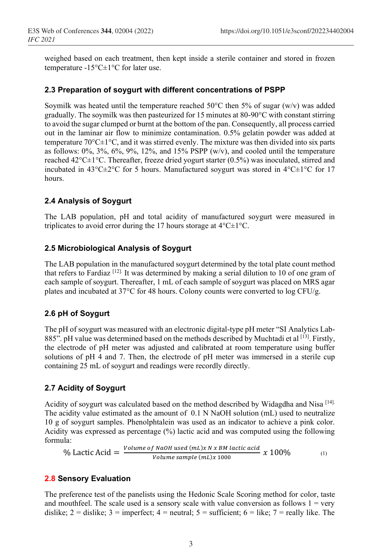weighed based on each treatment, then kept inside a sterile container and stored in frozen temperature -15°C±1°C for later use.

### **2.3 Preparation of soygurt with different concentrations of PSPP**

Soymilk was heated until the temperature reached 50 $\degree$ C then 5% of sugar (w/v) was added gradually. The soymilk was then pasteurized for 15 minutes at 80-90°C with constant stirring to avoid the sugar clumped or burnt at the bottom of the pan. Consequently, all process carried out in the laminar air flow to minimize contamination. 0.5% gelatin powder was added at temperature  $70^{\circ}$ C $\pm$ 1°C, and it was stirred evenly. The mixture was then divided into six parts as follows:  $0\%, 3\%, 6\%, 9\%, 12\%,$  and  $15\%$  PSPP (w/v), and cooled until the temperature reached 42°C±1°C. Thereafter, freeze dried yogurt starter (0.5%) was inoculated, stirred and incubated in 43°C $\pm$ 2°C for 5 hours. Manufactured soygurt was stored in 4°C $\pm$ 1°C for 17 hours.

### **2.4 Analysis of Soygurt**

The LAB population, pH and total acidity of manufactured soygurt were measured in triplicates to avoid error during the 17 hours storage at 4°C±1°C.

### **2.5 Microbiological Analysis of Soygurt**

The LAB population in the manufactured soygurt determined by the total plate count method that refers to Fardiaz  $\left[1^{\frac{2}{12}}\right]$ . It was determined by making a serial dilution to 10 of one gram of each sample of soygurt. Thereafter, 1 mL of each sample of soygurt was placed on MRS agar plates and incubated at 37°C for 48 hours. Colony counts were converted to log CFU/g.

### **2.6 pH of Soygurt**

The pH of soygurt was measured with an electronic digital-type pH meter "SI Analytics Lab-885". pH value was determined based on the methods described by Muchtadi et al <sup>[13]</sup>. Firstly, the electrode of pH meter was adjusted and calibrated at room temperature using buffer solutions of pH 4 and 7. Then, the electrode of pH meter was immersed in a sterile cup containing 25 mL of soygurt and readings were recordly directly.

### **2.7 Acidity of Soygurt**

Acidity of soygurt was calculated based on the method described by Widagdha and Nisa [14]. The acidity value estimated as the amount of 0.1 N NaOH solution (mL) used to neutralize 10 g of soygurt samples. Phenolphtalein was used as an indicator to achieve a pink color. Acidity was expressed as percentage (%) lactic acid and was computed using the following formula:

% Lactic Acid = 
$$
\frac{Volume\ of\ NaOH\ used\ (mL)x\ N\ x\ BM\ lactic\ acid}{Volume\ sample\ (mL)x\ 1000} \ x\ 100\%
$$
 (1)

### **2.8 Sensory Evaluation**

The preference test of the panelists using the Hedonic Scale Scoring method for color, taste and mouthfeel. The scale used is a sensory scale with value conversion as follows  $1 = \text{very}$ dislike;  $2 =$  dislike;  $3 =$  imperfect;  $4 =$  neutral;  $5 =$  sufficient;  $6 =$  like;  $7 =$  really like. The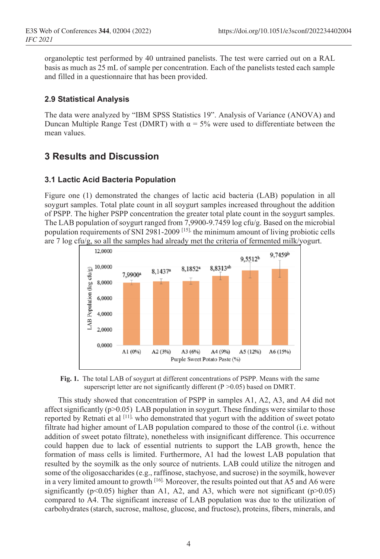organoleptic test performed by 40 untrained panelists. The test were carried out on a RAL basis as much as 25 mL of sample per concentration. Each of the panelists tested each sample and filled in a questionnaire that has been provided.

### **2.9 Statistical Analysis**

The data were analyzed by "IBM SPSS Statistics 19". Analysis of Variance (ANOVA) and Duncan Multiple Range Test (DMRT) with  $\alpha$  = 5% were used to differentiate between the mean values.

### **3 Results and Discussion**

### **3.1 Lactic Acid Bacteria Population**

Figure one (1) demonstrated the changes of lactic acid bacteria (LAB) population in all soygurt samples. Total plate count in all soygurt samples increased throughout the addition of PSPP. The higher PSPP concentration the greater total plate count in the soygurt samples. The LAB population of soygurt ranged from 7,9900-9.7459 log cfu/g. Based on the microbial population requirements of SNI 2981-2009 [15], the minimum amount of living probiotic cells are 7 log cfu/g, so all the samples had already met the criteria of fermented milk/yogurt.



**Fig. 1.** The total LAB of soygurt at different concentrations of PSPP. Means with the same superscript letter are not significantly different  $(P > 0.05)$  based on DMRT.

This study showed that concentration of PSPP in samples A1, A2, A3, and A4 did not affect significantly ( $p > 0.05$ ) LAB population in soygurt. These findings were similar to those reported by Retnati et al  $[11]$ , who demonstrated that yogurt with the addition of sweet potato filtrate had higher amount of LAB population compared to those of the control (i.e. without addition of sweet potato filtrate), nonetheless with insignificant difference. This occurrence could happen due to lack of essential nutrients to support the LAB growth, hence the formation of mass cells is limited. Furthermore, A1 had the lowest LAB population that resulted by the soymilk as the only source of nutrients. LAB could utilize the nitrogen and some of the oligosaccharides (e.g., raffinose, stachyose, and sucrose) in the soymilk, however in a very limited amount to growth [16]. Moreover, the results pointed out that A5 and A6 were significantly ( $p<0.05$ ) higher than A1, A2, and A3, which were not significant ( $p>0.05$ ) compared to A4. The significant increase of LAB population was due to the utilization of carbohydrates (starch, sucrose, maltose, glucose, and fructose), proteins, fibers, minerals, and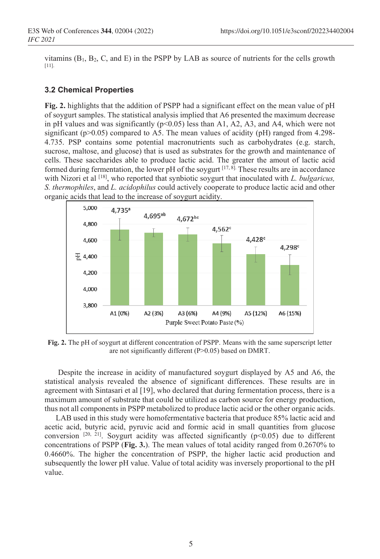vitamins  $(B_1, B_2, C, and E)$  in the PSPP by LAB as source of nutrients for the cells growth [11].

### **3.2 Chemical Properties**

**Fig. 2.** highlights that the addition of PSPP had a significant effect on the mean value of pH of soygurt samples. The statistical analysis implied that A6 presented the maximum decrease in pH values and was significantly  $(p<0.05)$  less than A1, A2, A3, and A4, which were not significant ( $p$ >0.05) compared to A5. The mean values of acidity ( $pH$ ) ranged from 4.298-4.735. PSP contains some potential macronutrients such as carbohydrates (e.g. starch, sucrose, maltose, and glucose) that is used as substrates for the growth and maintenance of cells. These saccharides able to produce lactic acid. The greater the amout of lactic acid formed during fermentation, the lower pH of the soygurt  $[17, 8]$ . These results are in accordance with Nizori et al <sup>[18]</sup>, who reported that synbiotic soygurt that inoculated with *L. bulgaricus*, *S. thermophiles*, and *L. acidophilus* could actively cooperate to produce lactic acid and other organic acids that lead to the increase of soygurt acidity.



**Fig. 2.** The pH of soygurt at different concentration of PSPP. Means with the same superscript letter are not significantly different (P>0.05) based on DMRT.

Despite the increase in acidity of manufactured soygurt displayed by A5 and A6, the statistical analysis revealed the absence of significant differences. These results are in agreement with Sintasari et al [19], who declared that during fermentation process, there is a maximum amount of substrate that could be utilized as carbon source for energy production, thus not all components in PSPP metabolized to produce lactic acid or the other organic acids.

LAB used in this study were homofermentative bacteria that produce 85% lactic acid and acetic acid, butyric acid, pyruvic acid and formic acid in small quantities from glucose conversion  $[20, 21]$ . Soygurt acidity was affected significantly (p<0.05) due to different concentrations of PSPP (**Fig. 3.**). The mean values of total acidity ranged from 0.2670% to 0.4660%. The higher the concentration of PSPP, the higher lactic acid production and subsequently the lower pH value. Value of total acidity was inversely proportional to the pH value.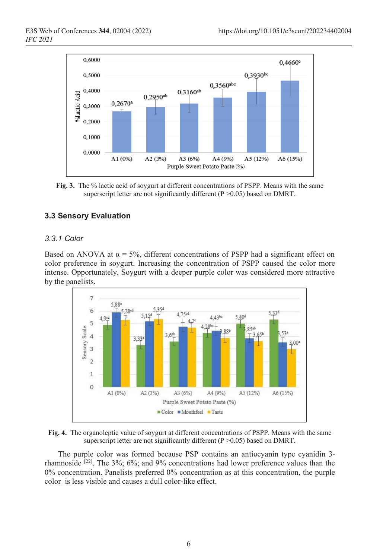

**Fig. 3.** The % lactic acid of soygurt at different concentrations of PSPP. Means with the same superscript letter are not significantly different (P > 0.05) based on DMRT.

### **3.3 Sensory Evaluation**

### *3.3.1 Color*

Based on ANOVA at  $\alpha = 5\%$ , different concentrations of PSPP had a significant effect on color preference in soygurt. Increasing the concentration of PSPP caused the color more intense. Opportunately, Soygurt with a deeper purple color was considered more attractive by the panelists.





The purple color was formed because PSP contains an antiocyanin type cyanidin 3 rhamnoside  $[22]$ . The 3%; 6%; and 9% concentrations had lower preference values than the 0% concentration. Panelists preferred 0% concentration as at this concentration, the purple color is less visible and causes a dull color-like effect.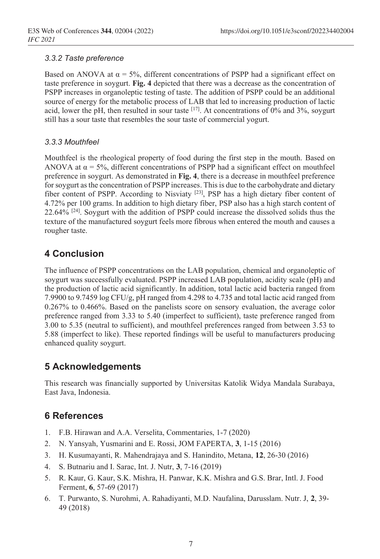### *3.3.2 Taste preference*

Based on ANOVA at  $\alpha = 5\%$ , different concentrations of PSPP had a significant effect on taste preference in soygurt. **Fig. 4** depicted that there was a decrease as the concentration of PSPP increases in organoleptic testing of taste. The addition of PSPP could be an additional source of energy for the metabolic process of LAB that led to increasing production of lactic acid, lower the pH, then resulted in sour taste  $^{[17]}$ . At concentrations of 0% and 3%, soygurt still has a sour taste that resembles the sour taste of commercial yogurt.

### *3.3.3 Mouthfeel*

Mouthfeel is the rheological property of food during the first step in the mouth. Based on ANOVA at  $\alpha$  = 5%, different concentrations of PSPP had a significant effect on mouthfeel preference in soygurt. As demonstrated in **Fig. 4**, there is a decrease in mouthfeel preference for soygurt as the concentration of PSPP increases. This is due to the carbohydrate and dietary fiber content of PSPP. According to Nisviaty [23], PSP has a high dietary fiber content of 4.72% per 100 grams. In addition to high dietary fiber, PSP also has a high starch content of 22.64%  $[24]$ . Soygurt with the addition of PSPP could increase the dissolved solids thus the texture of the manufactured soygurt feels more fibrous when entered the mouth and causes a rougher taste.

# **4 Conclusion**

The influence of PSPP concentrations on the LAB population, chemical and organoleptic of soygurt was successfully evaluated. PSPP increased LAB population, acidity scale (pH) and the production of lactic acid significantly. In addition, total lactic acid bacteria ranged from 7.9900 to 9.7459 log CFU/g, pH ranged from 4.298 to 4.735 and total lactic acid ranged from 0.267% to 0.466%. Based on the panelists score on sensory evaluation, the average color preference ranged from 3.33 to 5.40 (imperfect to sufficient), taste preference ranged from 3.00 to 5.35 (neutral to sufficient), and mouthfeel preferences ranged from between 3.53 to 5.88 (imperfect to like). These reported findings will be useful to manufacturers producing enhanced quality soygurt.

# **5 Acknowledgements**

This research was financially supported by Universitas Katolik Widya Mandala Surabaya, East Java, Indonesia.

# **6 References**

- 1. F.B. Hirawan and A.A. Verselita, Commentaries, 1-7 (2020)
- 2. N. Yansyah, Yusmarini and E. Rossi, JOM FAPERTA, **3**, 1-15 (2016)
- 3. H. Kusumayanti, R. Mahendrajaya and S. Hanindito, Metana, **12**, 26-30 (2016)
- 4. S. Butnariu and I. Sarac, Int. J. Nutr, **3**, 7-16 (2019)
- 5. R. Kaur, G. Kaur, S.K. Mishra, H. Panwar, K.K. Mishra and G.S. Brar, Intl. J. Food Ferment, **6**, 57-69 (2017)
- 6. T. Purwanto, S. Nurohmi, A. Rahadiyanti, M.D. Naufalina, Darusslam. Nutr. J, **2**, 39- 49 (2018)